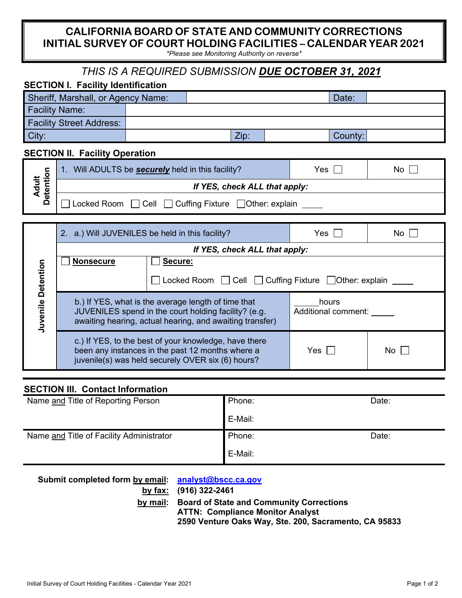### **CALIFORNIA BOARD OF STATE AND COMMUNITY CORRECTIONS INITIAL SURVEY OF COURT HOLDING FACILITIES – CALENDAR YEAR 2021**

*\*Please see Monitoring Authority on reverse\**

# *THIS IS A REQUIRED SUBMISSION DUE OCTOBER 31, 2021*

| <b>SECTION I. Facility Identification</b> |  |  |      |         |  |
|-------------------------------------------|--|--|------|---------|--|
| Sheriff, Marshall, or Agency Name:        |  |  |      | Date:   |  |
| <b>Facility Name:</b>                     |  |  |      |         |  |
| <b>Facility Street Address:</b>           |  |  |      |         |  |
| City:                                     |  |  | Zip: | County: |  |

### **SECTION II. Facility Operation**

| $\equiv \frac{\overline{Q}}{P}$ | Will ADULTS be <b>securely</b> held in this facility? | Yes | No. |  |  |
|---------------------------------|-------------------------------------------------------|-----|-----|--|--|
| سە<br>쿙<br>ত                    | If YES, check ALL that apply:                         |     |     |  |  |
| $\vec{a}$<br>ч.<br>Q            | Locked Room □ Cell □ Cuffing Fixture □ Other: explain |     |     |  |  |

|           | 2. a.) Will JUVENILES be held in this facility?                                                                                                                         |                                                                                                                                                                | Yes                          | No.  |  |
|-----------|-------------------------------------------------------------------------------------------------------------------------------------------------------------------------|----------------------------------------------------------------------------------------------------------------------------------------------------------------|------------------------------|------|--|
|           | If YES, check ALL that apply:                                                                                                                                           |                                                                                                                                                                |                              |      |  |
|           | <b>Nonsecure</b>                                                                                                                                                        | Secure:                                                                                                                                                        |                              |      |  |
| Detention |                                                                                                                                                                         | Locked Room   Cell   Cuffing Fixture   Other: explain                                                                                                          |                              |      |  |
| Juvenile  | b.) If YES, what is the average length of time that<br>JUVENILES spend in the court holding facility? (e.g.<br>awaiting hearing, actual hearing, and awaiting transfer) |                                                                                                                                                                | hours<br>Additional comment: |      |  |
|           |                                                                                                                                                                         | c.) If YES, to the best of your knowledge, have there<br>been any instances in the past 12 months where a<br>juvenile(s) was held securely OVER six (6) hours? | Yes l                        | No l |  |

#### **SECTION III. Contact Information**

| Name and Title of Reporting Person       | Phone:  | Date: |
|------------------------------------------|---------|-------|
|                                          | E-Mail: |       |
| Name and Title of Facility Administrator | Phone:  | Date: |
|                                          | E-Mail: |       |

| Submit completed form by email: analyst@bscc.ca.gov |                                                       |
|-----------------------------------------------------|-------------------------------------------------------|
|                                                     | by fax: (916) 322-2461                                |
|                                                     | by mail: Board of State and Community Corrections     |
|                                                     | <b>ATTN: Compliance Monitor Analyst</b>               |
|                                                     | 2590 Venture Oaks Way, Ste. 200, Sacramento, CA 95833 |